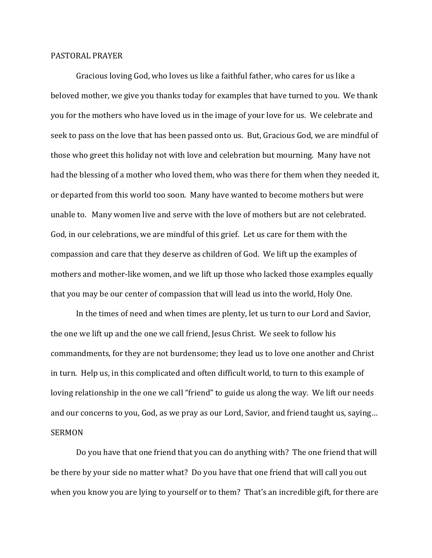## PASTORAL PRAYER

Gracious loving God, who loves us like a faithful father, who cares for us like a beloved mother, we give you thanks today for examples that have turned to you. We thank you for the mothers who have loved us in the image of your love for us. We celebrate and seek to pass on the love that has been passed onto us. But, Gracious God, we are mindful of those who greet this holiday not with love and celebration but mourning. Many have not had the blessing of a mother who loved them, who was there for them when they needed it, or departed from this world too soon. Many have wanted to become mothers but were unable to. Many women live and serve with the love of mothers but are not celebrated. God, in our celebrations, we are mindful of this grief. Let us care for them with the compassion and care that they deserve as children of God. We lift up the examples of mothers and mother-like women, and we lift up those who lacked those examples equally that you may be our center of compassion that will lead us into the world, Holy One.

In the times of need and when times are plenty, let us turn to our Lord and Savior, the one we lift up and the one we call friend, Jesus Christ. We seek to follow his commandments, for they are not burdensome; they lead us to love one another and Christ in turn. Help us, in this complicated and often difficult world, to turn to this example of loving relationship in the one we call "friend" to guide us along the way. We lift our needs and our concerns to you, God, as we pray as our Lord, Savior, and friend taught us, saying… SERMON

Do you have that one friend that you can do anything with? The one friend that will be there by your side no matter what? Do you have that one friend that will call you out when you know you are lying to yourself or to them? That's an incredible gift, for there are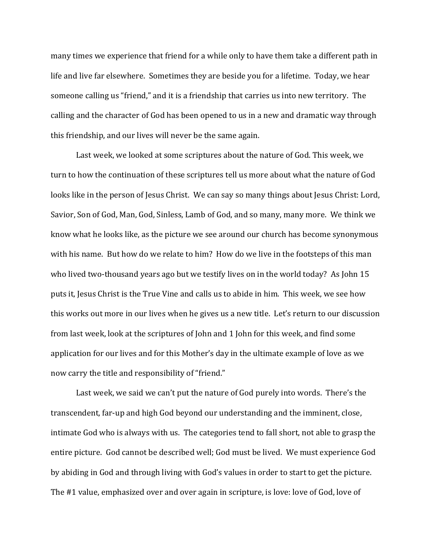many times we experience that friend for a while only to have them take a different path in life and live far elsewhere. Sometimes they are beside you for a lifetime. Today, we hear someone calling us "friend," and it is a friendship that carries us into new territory. The calling and the character of God has been opened to us in a new and dramatic way through this friendship, and our lives will never be the same again.

Last week, we looked at some scriptures about the nature of God. This week, we turn to how the continuation of these scriptures tell us more about what the nature of God looks like in the person of Jesus Christ. We can say so many things about Jesus Christ: Lord, Savior, Son of God, Man, God, Sinless, Lamb of God, and so many, many more. We think we know what he looks like, as the picture we see around our church has become synonymous with his name. But how do we relate to him? How do we live in the footsteps of this man who lived two-thousand years ago but we testify lives on in the world today? As John 15 puts it, Jesus Christ is the True Vine and calls us to abide in him. This week, we see how this works out more in our lives when he gives us a new title. Let's return to our discussion from last week, look at the scriptures of John and 1 John for this week, and find some application for our lives and for this Mother's day in the ultimate example of love as we now carry the title and responsibility of "friend."

Last week, we said we can't put the nature of God purely into words. There's the transcendent, far-up and high God beyond our understanding and the imminent, close, intimate God who is always with us. The categories tend to fall short, not able to grasp the entire picture. God cannot be described well; God must be lived. We must experience God by abiding in God and through living with God's values in order to start to get the picture. The #1 value, emphasized over and over again in scripture, is love: love of God, love of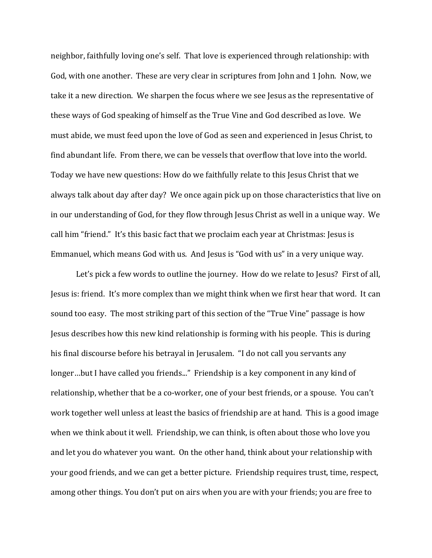neighbor, faithfully loving one's self. That love is experienced through relationship: with God, with one another. These are very clear in scriptures from John and 1 John. Now, we take it a new direction. We sharpen the focus where we see Jesus as the representative of these ways of God speaking of himself as the True Vine and God described as love. We must abide, we must feed upon the love of God as seen and experienced in Jesus Christ, to find abundant life. From there, we can be vessels that overflow that love into the world. Today we have new questions: How do we faithfully relate to this Jesus Christ that we always talk about day after day? We once again pick up on those characteristics that live on in our understanding of God, for they flow through Jesus Christ as well in a unique way. We call him "friend." It's this basic fact that we proclaim each year at Christmas: Jesus is Emmanuel, which means God with us. And Jesus is "God with us" in a very unique way.

Let's pick a few words to outline the journey. How do we relate to Jesus? First of all, Jesus is: friend. It's more complex than we might think when we first hear that word. It can sound too easy. The most striking part of this section of the "True Vine" passage is how Jesus describes how this new kind relationship is forming with his people. This is during his final discourse before his betrayal in Jerusalem. "I do not call you servants any longer...but I have called you friends..." Friendship is a key component in any kind of relationship, whether that be a co-worker, one of your best friends, or a spouse. You can't work together well unless at least the basics of friendship are at hand. This is a good image when we think about it well. Friendship, we can think, is often about those who love you and let you do whatever you want. On the other hand, think about your relationship with your good friends, and we can get a better picture. Friendship requires trust, time, respect, among other things. You don't put on airs when you are with your friends; you are free to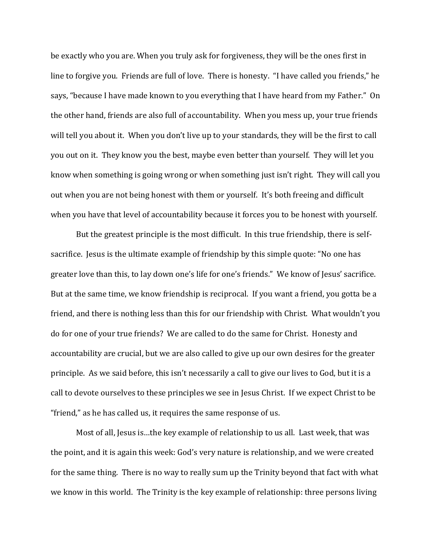be exactly who you are. When you truly ask for forgiveness, they will be the ones first in line to forgive you. Friends are full of love. There is honesty. "I have called you friends," he says, "because I have made known to you everything that I have heard from my Father." On the other hand, friends are also full of accountability. When you mess up, your true friends will tell you about it. When you don't live up to your standards, they will be the first to call you out on it. They know you the best, maybe even better than yourself. They will let you know when something is going wrong or when something just isn't right. They will call you out when you are not being honest with them or yourself. It's both freeing and difficult when you have that level of accountability because it forces you to be honest with yourself.

But the greatest principle is the most difficult. In this true friendship, there is selfsacrifice. Jesus is the ultimate example of friendship by this simple quote: "No one has greater love than this, to lay down one's life for one's friends." We know of Jesus' sacrifice. But at the same time, we know friendship is reciprocal. If you want a friend, you gotta be a friend, and there is nothing less than this for our friendship with Christ. What wouldn't you do for one of your true friends? We are called to do the same for Christ. Honesty and accountability are crucial, but we are also called to give up our own desires for the greater principle. As we said before, this isn't necessarily a call to give our lives to God, but it is a call to devote ourselves to these principles we see in Jesus Christ. If we expect Christ to be "friend," as he has called us, it requires the same response of us.

Most of all, Jesus is…the key example of relationship to us all. Last week, that was the point, and it is again this week: God's very nature is relationship, and we were created for the same thing. There is no way to really sum up the Trinity beyond that fact with what we know in this world. The Trinity is the key example of relationship: three persons living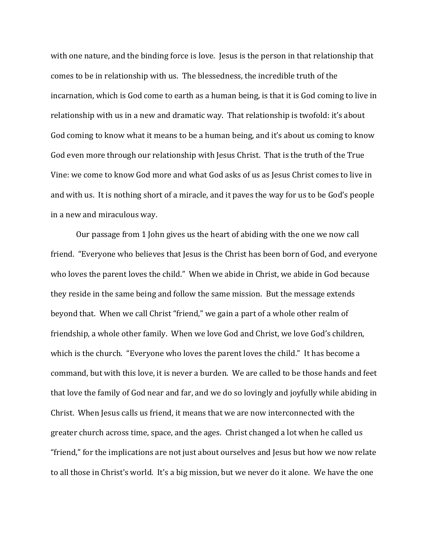with one nature, and the binding force is love. Jesus is the person in that relationship that comes to be in relationship with us. The blessedness, the incredible truth of the incarnation, which is God come to earth as a human being, is that it is God coming to live in relationship with us in a new and dramatic way. That relationship is twofold: it's about God coming to know what it means to be a human being, and it's about us coming to know God even more through our relationship with Jesus Christ. That is the truth of the True Vine: we come to know God more and what God asks of us as Jesus Christ comes to live in and with us. It is nothing short of a miracle, and it paves the way for us to be God's people in a new and miraculous way.

Our passage from 1 John gives us the heart of abiding with the one we now call friend. "Everyone who believes that Jesus is the Christ has been born of God, and everyone who loves the parent loves the child." When we abide in Christ, we abide in God because they reside in the same being and follow the same mission. But the message extends beyond that. When we call Christ "friend," we gain a part of a whole other realm of friendship, a whole other family. When we love God and Christ, we love God's children, which is the church. "Everyone who loves the parent loves the child." It has become a command, but with this love, it is never a burden. We are called to be those hands and feet that love the family of God near and far, and we do so lovingly and joyfully while abiding in Christ. When Jesus calls us friend, it means that we are now interconnected with the greater church across time, space, and the ages. Christ changed a lot when he called us "friend," for the implications are not just about ourselves and Jesus but how we now relate to all those in Christ's world. It's a big mission, but we never do it alone. We have the one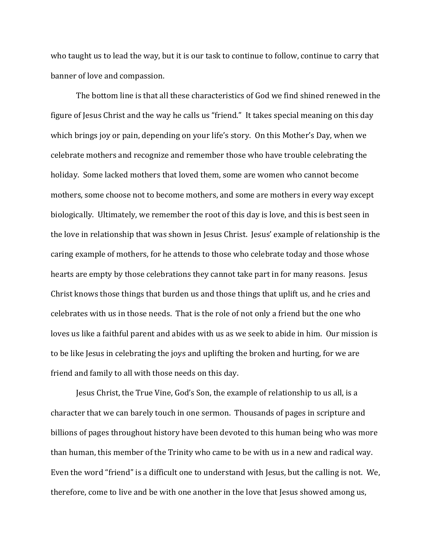who taught us to lead the way, but it is our task to continue to follow, continue to carry that banner of love and compassion.

The bottom line is that all these characteristics of God we find shined renewed in the figure of Jesus Christ and the way he calls us "friend." It takes special meaning on this day which brings joy or pain, depending on your life's story. On this Mother's Day, when we celebrate mothers and recognize and remember those who have trouble celebrating the holiday. Some lacked mothers that loved them, some are women who cannot become mothers, some choose not to become mothers, and some are mothers in every way except biologically. Ultimately, we remember the root of this day is love, and this is best seen in the love in relationship that was shown in Jesus Christ. Jesus' example of relationship is the caring example of mothers, for he attends to those who celebrate today and those whose hearts are empty by those celebrations they cannot take part in for many reasons. Jesus Christ knows those things that burden us and those things that uplift us, and he cries and celebrates with us in those needs. That is the role of not only a friend but the one who loves us like a faithful parent and abides with us as we seek to abide in him. Our mission is to be like Jesus in celebrating the joys and uplifting the broken and hurting, for we are friend and family to all with those needs on this day.

Jesus Christ, the True Vine, God's Son, the example of relationship to us all, is a character that we can barely touch in one sermon. Thousands of pages in scripture and billions of pages throughout history have been devoted to this human being who was more than human, this member of the Trinity who came to be with us in a new and radical way. Even the word "friend" is a difficult one to understand with Jesus, but the calling is not. We, therefore, come to live and be with one another in the love that Jesus showed among us,